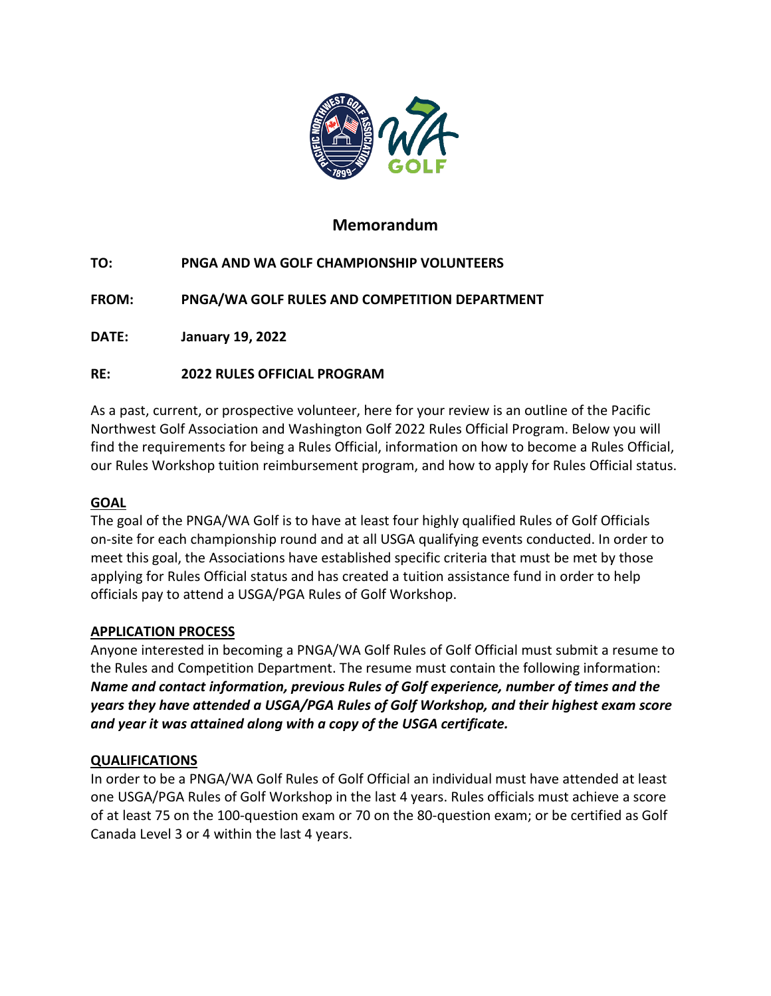

# **Memorandum**

**TO: PNGA AND WA GOLF CHAMPIONSHIP VOLUNTEERS**

**FROM: PNGA/WA GOLF RULES AND COMPETITION DEPARTMENT**

**DATE: January 19, 2022**

### **RE: 2022 RULES OFFICIAL PROGRAM**

As a past, current, or prospective volunteer, here for your review is an outline of the Pacific Northwest Golf Association and Washington Golf 2022 Rules Official Program. Below you will find the requirements for being a Rules Official, information on how to become a Rules Official, our Rules Workshop tuition reimbursement program, and how to apply for Rules Official status.

### **GOAL**

The goal of the PNGA/WA Golf is to have at least four highly qualified Rules of Golf Officials on-site for each championship round and at all USGA qualifying events conducted. In order to meet this goal, the Associations have established specific criteria that must be met by those applying for Rules Official status and has created a tuition assistance fund in order to help officials pay to attend a USGA/PGA Rules of Golf Workshop.

### **APPLICATION PROCESS**

Anyone interested in becoming a PNGA/WA Golf Rules of Golf Official must submit a resume to the Rules and Competition Department. The resume must contain the following information: *Name and contact information, previous Rules of Golf experience, number of times and the years they have attended a USGA/PGA Rules of Golf Workshop, and their highest exam score and year it was attained along with a copy of the USGA certificate.*

### **QUALIFICATIONS**

In order to be a PNGA/WA Golf Rules of Golf Official an individual must have attended at least one USGA/PGA Rules of Golf Workshop in the last 4 years. Rules officials must achieve a score of at least 75 on the 100-question exam or 70 on the 80-question exam; or be certified as Golf Canada Level 3 or 4 within the last 4 years.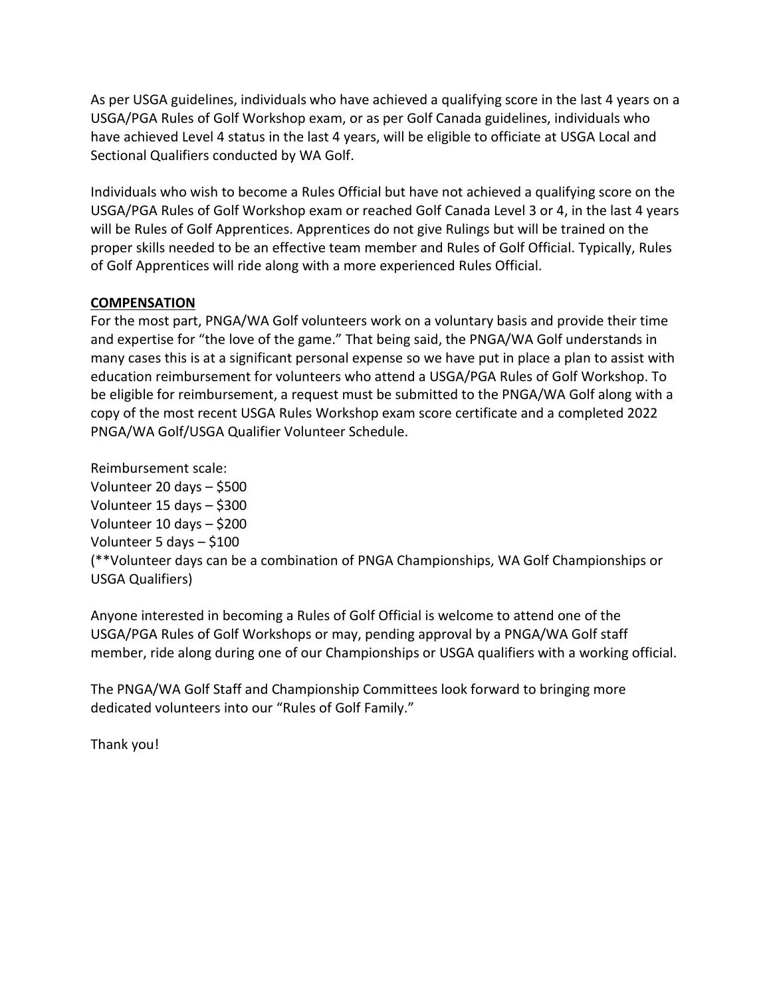As per USGA guidelines, individuals who have achieved a qualifying score in the last 4 years on a USGA/PGA Rules of Golf Workshop exam, or as per Golf Canada guidelines, individuals who have achieved Level 4 status in the last 4 years, will be eligible to officiate at USGA Local and Sectional Qualifiers conducted by WA Golf.

Individuals who wish to become a Rules Official but have not achieved a qualifying score on the USGA/PGA Rules of Golf Workshop exam or reached Golf Canada Level 3 or 4, in the last 4 years will be Rules of Golf Apprentices. Apprentices do not give Rulings but will be trained on the proper skills needed to be an effective team member and Rules of Golf Official. Typically, Rules of Golf Apprentices will ride along with a more experienced Rules Official.

### **COMPENSATION**

For the most part, PNGA/WA Golf volunteers work on a voluntary basis and provide their time and expertise for "the love of the game." That being said, the PNGA/WA Golf understands in many cases this is at a significant personal expense so we have put in place a plan to assist with education reimbursement for volunteers who attend a USGA/PGA Rules of Golf Workshop. To be eligible for reimbursement, a request must be submitted to the PNGA/WA Golf along with a copy of the most recent USGA Rules Workshop exam score certificate and a completed 2022 PNGA/WA Golf/USGA Qualifier Volunteer Schedule.

Reimbursement scale: Volunteer 20 days – \$500 Volunteer 15 days – \$300 Volunteer 10 days – \$200 Volunteer 5 days – \$100 (\*\*Volunteer days can be a combination of PNGA Championships, WA Golf Championships or USGA Qualifiers)

Anyone interested in becoming a Rules of Golf Official is welcome to attend one of the USGA/PGA Rules of Golf Workshops or may, pending approval by a PNGA/WA Golf staff member, ride along during one of our Championships or USGA qualifiers with a working official.

The PNGA/WA Golf Staff and Championship Committees look forward to bringing more dedicated volunteers into our "Rules of Golf Family."

Thank you!